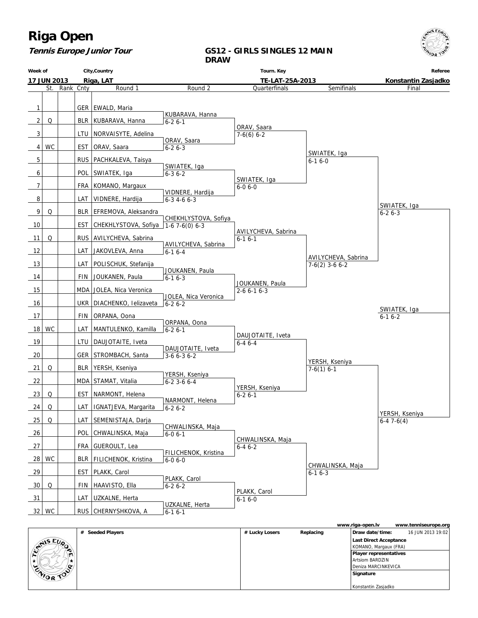### **Tennis Europe Junior Tour**

### **GS12 - GIRLS SINGLES 12 MAIN DRAW**

| Week of        |                    |               |     | City, Country                           |                       | Tourn. Key                             |                     | Referee        |
|----------------|--------------------|---------------|-----|-----------------------------------------|-----------------------|----------------------------------------|---------------------|----------------|
|                | <b>17 JUN 2013</b> |               |     | Riga, LAT                               |                       | TE-LAT-25A-2013                        |                     |                |
|                |                    | St. Rank Cnty |     | Round 1                                 | Round 2               | Quarterfinals                          | Semifinals          | Final          |
|                |                    |               |     |                                         |                       |                                        |                     |                |
| 1              |                    |               |     | GER   EWALD, Maria                      | KUBARAVA, Hanna       |                                        |                     |                |
| $\overline{2}$ | Q                  |               |     | BLR   KUBARAVA, Hanna                   | $6 - 26 - 1$          |                                        |                     |                |
| 3              |                    |               |     | LTU   NORVAISYTE, Adelina               |                       | ORAV, Saara<br>$7-6(6)$ 6-2            |                     |                |
| 4              | <b>WC</b>          |               | EST | ORAV, Saara                             | ORAV, Saara           |                                        |                     |                |
|                |                    |               |     |                                         | $6 - 26 - 3$          |                                        | SWIATEK, Iga        |                |
| 5              |                    |               |     | RUS   PACHKALEVA, Taisya                | SWIATEK, Iga          |                                        | $6 - 16 - 0$        |                |
| 6              |                    |               |     | POL SWIATEK, Iga                        | $6 - 36 - 2$          |                                        |                     |                |
| 7              |                    |               |     | FRA   KOMANO, Margaux                   |                       | SWIATEK, Iga<br>$6 - 06 - 0$           |                     |                |
| 8              |                    |               |     |                                         | VIDNERE, Hardija      |                                        |                     |                |
|                |                    |               |     | LAT   VIDNERE, Hardija                  | $6 - 3$ 4 - 6 $6 - 3$ |                                        |                     | SWIATEK, Iga   |
| 9              | Q                  |               |     | BLR   EFREMOVA, Aleksandra              | CHEKHLYSTOVA, Sofiya  |                                        |                     | $6 - 26 - 3$   |
| 10             |                    |               |     | EST CHEKHLYSTOVA, Sofiya 1-6 7-6(0) 6-3 |                       |                                        |                     |                |
| 11             | Q                  |               |     | RUS AVILYCHEVA, Sabrina                 |                       | AVILYCHEVA, Sabrina<br>$6-16-1$        |                     |                |
|                |                    |               |     | LAT   JAKOVLEVA, Anna                   | AVILYCHEVA, Sabrina   |                                        |                     |                |
| 12             |                    |               |     |                                         | $6 - 16 - 4$          |                                        | AVILYCHEVA, Sabrina |                |
| 13             |                    |               | LAT | POLISCHUK, Stefanija                    | JOUKANEN, Paula       |                                        | $7-6(2)$ 3-6 6-2    |                |
| 14             |                    |               | FIN | JOUKANEN, Paula                         | $6 - 16 - 3$          |                                        |                     |                |
| 15             |                    |               |     | MDA JOLEA, Nica Veronica                |                       | JOUKANEN, Paula<br>$2 - 6 6 - 1 6 - 3$ |                     |                |
| 16             |                    |               |     | UKR   DIACHENKO, Ielizaveta             | JOLEA, Nica Veronica  |                                        |                     |                |
|                |                    |               |     |                                         | $6 - 26 - 2$          |                                        |                     | SWIATEK, Iga   |
| 17             |                    |               | FIN | ORPANA, Oona                            | ORPANA, Oona          |                                        |                     | $6-16-2$       |
| 18             | WC                 |               | LAT | MANTULENKO, Kamilla                     | $6 - 26 - 1$          |                                        |                     |                |
| 19             |                    |               |     | LTU_DAUJOTAITE, Iveta                   |                       | DAUJOTAITE, Iveta<br>$6 - 46 - 4$      |                     |                |
| 20             |                    |               |     | GER   STROMBACH, Santa                  | DAUJOTAITE, Iveta     |                                        |                     |                |
|                |                    |               |     |                                         | $3-66-36-2$           |                                        | YERSH, Kseniya      |                |
| 21             | Q                  |               |     | BLR   YERSH, Kseniya                    | YERSH, Kseniya        |                                        | $7-6(1)$ 6-1        |                |
| 22             |                    |               |     | MDA STAMAT, Vitalia                     | 6-2 3-6 6-4           |                                        |                     |                |
| 23             | Q                  |               | EST | NARMONT, Helena                         |                       | YERSH, Kseniya<br>$6 - 26 - 1$         |                     |                |
| 24             | Q                  |               |     | LAT   IGNATJEVA, Margarita              | NARMONT, Helena       |                                        |                     |                |
|                |                    |               |     |                                         | $6 - 26 - 2$          |                                        |                     | YERSH, Kseniya |
| 25             | $\Omega$           |               |     | LAT   SEMENISTAJA, Darja                | CHWALINSKA, Maja      |                                        |                     | $6-47-6(4)$    |
| 26             |                    |               |     | POL CHWALINSKA, Maja                    | $6 - 06 - 1$          |                                        |                     |                |
| 27             |                    |               |     | FRA GUEROULT, Lea                       |                       | CHWALINSKA, Maja<br>$6 - 46 - 2$       |                     |                |
|                | 28 WC              |               |     | BLR   FILICHENOK, Kristina              | FILICHENOK, Kristina  |                                        |                     |                |
|                |                    |               |     |                                         | $6 - 06 - 0$          |                                        | CHWALINSKA, Maja    |                |
| 29             |                    |               |     | EST   PLAKK, Carol                      | PLAKK, Carol          |                                        | $6 - 16 - 3$        |                |
| 30             | Q                  |               | FIN | HAAVISTO, Ella                          | $6 - 26 - 2$          |                                        |                     |                |
| 31             |                    |               | LAT | UZKALNE, Herta                          |                       | PLAKK, Carol<br>$6 - 16 - 0$           |                     |                |
|                | $32$ WC            |               |     | RUS CHERNYSHKOVA, A                     | UZKALNE, Herta        |                                        |                     |                |
|                |                    |               |     |                                         | $6 - 16 - 1$          |                                        |                     |                |

|                |                  |                |           | www.riga-open.lv              | www.tenniseurope.org |
|----------------|------------------|----------------|-----------|-------------------------------|----------------------|
|                | # Seeded Players | # Lucky Losers | Replacing | Draw date/time:               | 16 JUN 2013 19:02    |
| <b>SMISEUP</b> |                  |                |           | Last Direct Acceptance        |                      |
|                |                  |                |           | KOMANO, Margaux (FRA)         |                      |
|                |                  |                |           | <b>Player representatives</b> |                      |
|                |                  |                |           | Artsiom BARDZIN               |                      |
| ENIOR TOO      |                  |                |           | Deniza MARCINKEVICA           |                      |
|                |                  |                |           | Signature                     |                      |
|                |                  |                |           |                               |                      |
|                |                  |                |           | Konstantin Zasjadko           |                      |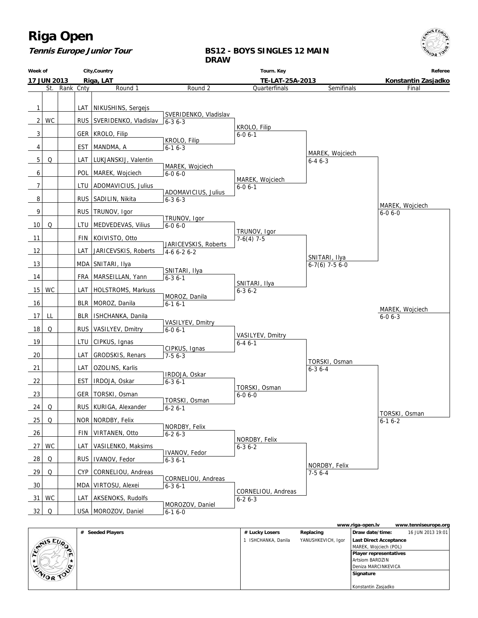### **Tennis Europe Junior Tour**

### **BS12 - BOYS SINGLES 12 MAIN DRAW**

|                 | City, Country<br>Week of        |           | Tourn. Key |                             | Referee                                |                                  |                                 |                               |
|-----------------|---------------------------------|-----------|------------|-----------------------------|----------------------------------------|----------------------------------|---------------------------------|-------------------------------|
|                 | Riga, LAT<br><b>17 JUN 2013</b> |           |            |                             | TE-LAT-25A-2013                        |                                  | Konstantin Zasjadko             |                               |
|                 | St.                             | Rank Cnty |            | Round <sub>1</sub>          | Round 2                                | Quarterfinals                    | Semifinals                      | Final                         |
| 1               |                                 |           | LAT        | NIKUSHINS, Sergejs          |                                        |                                  |                                 |                               |
| 2               | <b>WC</b>                       |           |            | RUS   SVERIDENKO, Vladislav | SVERIDENKO, Vladislav<br>$16 - 36 - 3$ |                                  |                                 |                               |
| 3               |                                 |           |            | GER   KROLO, Filip          |                                        | KROLO, Filip<br>$6 - 0 6 - 1$    |                                 |                               |
| 4               |                                 |           |            | EST   MANDMA, A             | KROLO, Filip<br>$6 - 16 - 3$           |                                  |                                 |                               |
| 5               | Q                               |           |            | LAT   LUKJANSKIJ, Valentin  |                                        |                                  | MAREK, Wojciech<br>$6 - 46 - 3$ |                               |
| 6               |                                 |           |            | POL   MAREK, Wojciech       | MAREK, Wojciech<br>$6 - 06 - 0$        |                                  |                                 |                               |
| 7               |                                 |           |            | LTU   ADOMAVICIUS, Julius   |                                        | MAREK, Wojciech<br>$6 - 0 6 - 1$ |                                 |                               |
| 8               |                                 |           |            | RUS   SADILIN, Nikita       | ADOMAVICIUS, Julius<br>$6 - 36 - 3$    |                                  |                                 |                               |
| 9               |                                 |           |            | RUS   TRUNOV, Igor          |                                        |                                  |                                 | MAREK, Wojciech               |
| 10              | Q                               |           |            | LTU   MEDVEDEVAS, Vilius    | TRUNOV, Igor                           |                                  |                                 | $6 - 06 - 0$                  |
|                 |                                 |           |            |                             | $6 - 06 - 0$                           | TRUNOV, Igor                     |                                 |                               |
| 11              |                                 |           |            | FIN   KOIVISTO, Otto        | JARICEVSKIS, Roberts                   | $7-6(4)$ 7-5                     |                                 |                               |
| 12              |                                 |           |            | LAT   JARICEVSKIS, Roberts  | $4-66-26-2$                            |                                  | SNITARI, Ilya                   |                               |
| 13              |                                 |           |            | MDA SNITARI, Ilya           | SNITARI, Ilya                          |                                  | $6-7(6)$ 7-5 6-0                |                               |
| 14              |                                 |           |            | FRA   MARSEILLAN, Yann      | $6 - 36 - 1$                           | SNITARI, Ilya                    |                                 |                               |
| 15 <sup>1</sup> | WC                              |           |            | LAT   HOLSTROMS, Markuss    | MOROZ, Danila                          | $6 - 36 - 2$                     |                                 |                               |
| 16              |                                 |           |            | BLR   MOROZ, Danila         | $6 - 16 - 1$                           |                                  |                                 | MAREK, Wojciech               |
| 17              | LL                              |           |            | BLR   ISHCHANKA, Danila     | VASILYEV, Dmitry                       |                                  |                                 | $6 - 06 - 3$                  |
| 18              | Q                               |           |            | RUS   VASILYEV, Dmitry      | $6 - 06 - 1$                           |                                  |                                 |                               |
| 19              |                                 |           |            | LTU   CIPKUS, Ignas         |                                        | VASILYEV, Dmitry<br>$6 - 46 - 1$ |                                 |                               |
| 20              |                                 |           |            | LAT   GRODSKIS, Renars      | CIPKUS, Ignas<br>$7-56-3$              |                                  |                                 |                               |
| 21              |                                 |           |            | LAT OZOLINS, Karlis         |                                        |                                  | TORSKI, Osman<br>$6 - 36 - 4$   |                               |
| 22              |                                 |           |            | EST   IRDOJA, Oskar         | IRDOJA, Oskar<br>$6 - 3 6 - 1$         |                                  |                                 |                               |
| 23              |                                 |           |            | GER   TORSKI, Osman         |                                        | TORSKI, Osman<br>$6 - 06 - 0$    |                                 |                               |
| 24              | Q                               |           |            | RUS   KURIGA, Alexander     | TORSKI, Osman<br>$6 - 26 - 1$          |                                  |                                 |                               |
| 25              | $\mathsf O$                     |           |            | NOR NORDBY, Felix           |                                        |                                  |                                 | TORSKI, Osman<br>$6 - 16 - 2$ |
| 26              |                                 |           |            | FIN   VIRTANEN, Otto        | NORDBY, Felix<br>$6 - 26 - 3$          |                                  |                                 |                               |
| 27              | WC                              |           |            | LAT   VASILENKO, Maksims    |                                        | NORDBY, Felix<br>$6 - 36 - 2$    |                                 |                               |
| 28              | Q                               |           |            | RUS   IVANOV, Fedor         | <b>IVANOV, Fedor</b>                   |                                  |                                 |                               |
| 29              | Q                               |           |            | CYP   CORNELIOU, Andreas    | $6 - 36 - 1$                           |                                  | NORDBY, Felix                   |                               |
|                 |                                 |           |            |                             | CORNELIOU, Andreas                     |                                  | $7-56--4$                       |                               |
| 30              |                                 |           |            | MDA   VIRTOSU, Alexei       | $6 - 36 - 1$                           | CORNELIOU, Andreas               |                                 |                               |
| 31              | <b>WC</b>                       |           |            | LAT AKSENOKS, Rudolfs       | MOROZOV, Daniel                        | $6 - 26 - 3$                     |                                 |                               |
| 32              | Q                               |           |            | USA   MOROZOV, Daniel       | $6 - 16 - 0$                           |                                  |                                 |                               |

|                |                  |                   |                    | www.riga-open.lv              | www.tenniseurope.org |
|----------------|------------------|-------------------|--------------------|-------------------------------|----------------------|
|                | # Seeded Players | # Lucky Losers    | Replacing          | Draw date/time:               | 16 JUN 2013 19:01    |
| <b>ANISEUP</b> |                  | ISHCHANKA, Danila | YANUSHKEVICH, Igor | Last Direct Acceptance        |                      |
|                |                  |                   |                    | MAREK, Wojciech (POL)         |                      |
|                |                  |                   |                    | <b>Player representatives</b> |                      |
|                |                  |                   |                    | <b>Artsiom BARDZIN</b>        |                      |
| c              |                  |                   |                    | Deniza MARCINKEVICA           |                      |
| ENIOR TOO      |                  |                   |                    | Signature                     |                      |
|                |                  |                   |                    |                               |                      |
|                |                  |                   |                    | Konstantin Zasjadko           |                      |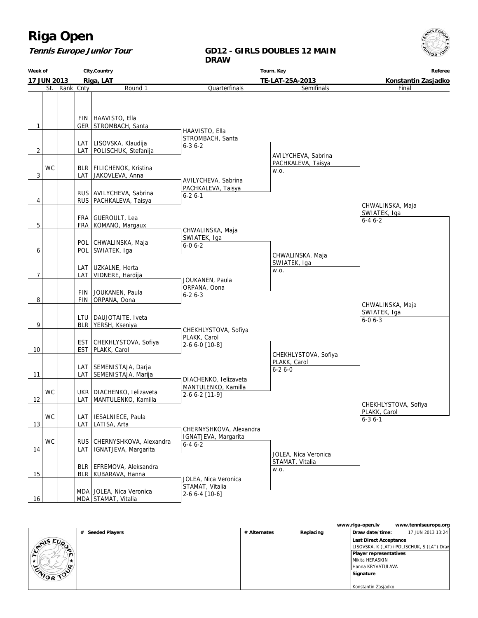#### **Tennis Europe Junior Tour**

#### **GD12 - GIRLS DOUBLES 12 MAIN DRAW**

**Week of 17 JUN 2013 City,Country Riga, LAT Tourn. Key TE-LAT-25A-2013 Referee Konstantin Zasjadko** St. Rank Cnty **Round 1** 1 | GER FIN HAAVISTO, Ella STROMBACH, Santa  $2$  LAT LAT LISOVSKA, Klaudija POLISCHUK, Stefanija 3 WC LAT BLR FILICHENOK, Kristina JAKOVLEVA, Anna  $4$  | RUS RUS | AVILYCHEVA, Sabrina PACHKALEVA, Taisya 5 FRA FRA GUEROULT, Lea KOMANO, Margaux 6 | POL POL CHWALINSKA, Maja SWIATEK, Iga  $7$   $\vert$   $\vert$  LAT LAT UZKALNE, Herta VIDNERE, Hardija 8 | FIN FIN JOUKANEN, Paula ORPANA, Oona 9 BLR LTU DAUJOTAITE, Iveta YERSH, Kseniya 10 | EST EST CHEKHLYSTOVA, Sofiya PLAKK, Carol 11 | LAT LAT SEMENISTAJA, Darja SEMENISTAJA, Marija 12 **WC** LAT UKR DIACHENKO, Ielizaveta MANTULENKO, Kamilla 13 **WC** LAT LAT IESALNIECE, Paula LATISA, Arta 14 WC LAT RUS CHERNYSHKOVA, Alexandra IGNATJEVA, Margarita 15 | BLR BLR EFREMOVA, Aleksandra KUBARAVA, Hanna 16 | | | | MDA | STAMAT, Vitalia MDA JOLEA, Nica Veronica **Quarterfinals**  HAAVISTO, Ella STROMBACH, Santa 6-3 6-2 AVILYCHEVA, Sabrina PACHKALEVA, Taisya 6-2 6-1 CHWALINSKA, Maja SWIATEK, Iga 6-0 6-2 JOUKANEN, Paula ORPANA, Oona  $6 - 26 - 3$  CHEKHLYSTOVA, Sofiya PLAKK, Carol 2-6 6-0 [10-8] DIACHENKO, Ielizaveta MANTULENKO, Kamilla 2-6 6-2 [11-9] CHERNYSHKOVA, Alexandra IGNATJEVA, Margarita 6-4 6-2 JOLEA, Nica Veronica STAMAT, Vitalia 2-6 6-4 [10-6] Semifinals AVILYCHEVA, Sabrina PACHKALEVA, Taisya w.o. CHWALINSKA, Maja SWIATEK, Iga w.o. CHEKHLYSTOVA, Sofiya PLAKK, Carol 6-2 6-0 JOLEA, Nica Veronica STAMAT, Vitalia w.o. Final CHWALINSKA, Maja SWIATEK, Iga 6-4 6-2 CHEKHLYSTOVA, Sofiya PLAKK, Carol 6-3 6-1 CHWALINSKA, Maja SWIATEK, Iga 6-0 6-3

|                  |                  |              |           | www.riga-open.lv       | www.tenniseurope.org                      |
|------------------|------------------|--------------|-----------|------------------------|-------------------------------------------|
|                  | # Seeded Players | # Alternates | Replacing | Draw date/time:        | 17 JUN 2013 13:24                         |
| ANIS EUP         |                  |              |           | Last Direct Acceptance |                                           |
|                  |                  |              |           |                        | LISOVSKA, K (LAT)+POLISCHUK, S (LAT) Drav |
| ∼                |                  |              |           | Player representatives |                                           |
|                  |                  |              |           | Mikita HERASKIN        |                                           |
| o                |                  |              |           | Hanna KRYVATULAVA      |                                           |
| <b>CAIOR TON</b> |                  |              |           | Signature              |                                           |
|                  |                  |              |           |                        |                                           |
|                  |                  |              |           | Konstantin Zasjadko    |                                           |

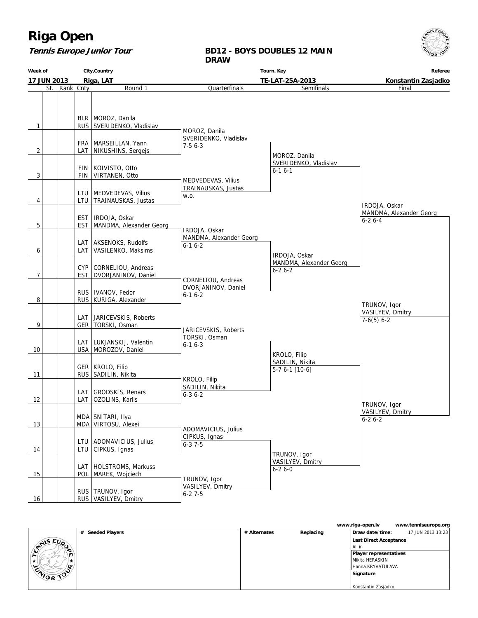#### **Tennis Europe Junior Tour**

#### **BD12 - BOYS DOUBLES 12 MAIN DRAW**



|                  |                  |              |           | www.riga-open.lv       | www.tenniseurope.org |
|------------------|------------------|--------------|-----------|------------------------|----------------------|
|                  | # Seeded Players | # Alternates | Replacing | Draw date/time:        | 17 JUN 2013 13:23    |
| ANIS EUP         |                  |              |           | Last Direct Acceptance |                      |
|                  |                  |              |           | l All in               |                      |
|                  |                  |              |           | Player representatives |                      |
|                  |                  |              |           | Mikita HERASKIN        |                      |
| .o.              |                  |              |           | Hanna KRYVATULAVA      |                      |
| <b>CAIOR TON</b> |                  |              |           | Signature              |                      |
|                  |                  |              |           |                        |                      |
|                  |                  |              |           | Konstantin Zasjadko    |                      |

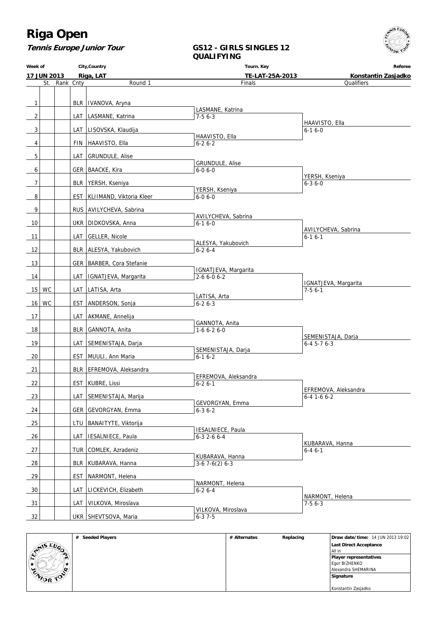

#### **Tennis Europe Junior Tour**

#### **GS12 - GIRLS SINGLES 12 QUALIFYING**

**Week of 17 JUN 2013 City,Country Riga, LAT Tourn. Key TE-LAT-25A-2013 Referee Konstantin Zasjadko** St. Rank Cnty Round 1 1 | BLR IVANOVA, Aryna 2 | LAT LASMANE, Katrina 3 | | | | LAT | LISOVSKA, Klaudija 4 | FIN HAAVISTO, Ella 5 | | | | LAT GRUNDULE, Alise 6 | GER BAACKE, Kira 7 | BLR YERSH, Kseniya 8 | EST KLIIMAND, Viktoria Kleer 9 | RUS AVILYCHEVA, Sabrina 10 | UKR DIDKOVSKA, Anna 11 | | | | LAT | GELLER, Nicole 12 | BLR ALESYA, Yakubovich 13 | GER BARBER, Cora Stefanie 14 | | | | LAT | IGNATJEVA, Margarita 15 WC | LAT LATISA, Arta 16 WC | EST ANDERSON, Sonja 17 | LAT AKMANE, Annelija 18 | BLR GANNOTA, Anita 19 | | | | LAT | SEMENISTAJA, Darja 20 | EST MUULI, Ann Maria 21 | BLR EFREMOVA, Aleksandra 22 | EST KUBRE, Lissi 23 | | | | LAT | SEMENISTAJA, Marija 24 | GER GEVORGYAN, Emma 25 | | | | LTU | BANAITYTE, Viktorija 26 | | | | LAT | IESALNIECE, Paula 27 | | TUR COMLEK, Azradeniz 28 | | BLR KUBARAVA, Hanna 29 | EST NARMONT, Helena 30 | | | | LAT | LICKEVICH, Elizabeth 31 | LAT VILKOVA, Miroslava 32 | | | UKR SHEVTSOVA, Maria **Finals**  LASMANE, Katrina 7-5 6-3 HAAVISTO, Ella 6-2 6-2 GRUNDULE, Alise 6-0 6-0 YERSH, Kseniya 6-0 6-0 AVILYCHEVA, Sabrina 6-1 6-0 ALESYA, Yakubovich 6-2 6-4 IGNATJEVA, Margarita  $2 - 6$  6-0 6-2 LATISA, Arta 6-2 6-3 GANNOTA, Anita 1-6 6-2 6-0 SEMENISTAJA, Darja  $6-16-2$  EFREMOVA, Aleksandra  $6 - 26 - 1$  GEVORGYAN, Emma 6-3 6-2 IESALNIECE, Paula 6-3 2-6 6-4 KUBARAVA, Hanna  $3-6$  7 $-6$ (2) 6 $-3$  NARMONT, Helena 6-2 6-4 VILKOVA, Miroslava 6-3 7-5 **Qualifiers**  HAAVISTO, Ella 6-1 6-0 YERSH, Kseniya 6-3 6-0 AVILYCHEVA, Sabrina 6-1 6-1 IGNATJEVA, Margarita 7-5 6-1 SEMENISTAJA, Daria 6-4 5-7 6-3 EFREMOVA, Aleksandra 6-4 1-6 6-2 KUBARAVA, Hanna 6-4 6-1 NARMONT, Helena 7-5 6-3

|                  | # Seeded Players | # Alternates | Replacing | Draw date/time: 14 JUN 2013 19:02 |
|------------------|------------------|--------------|-----------|-----------------------------------|
| AIS EVA          |                  |              |           | Last Direct Acceptance            |
|                  |                  |              |           | All in                            |
|                  |                  |              |           | <b>Player representatives</b>     |
|                  |                  |              |           | Egor BIZHENKO                     |
| $\sim$           |                  |              |           | Alexandra SHEMARINA               |
| <b>CAIOR TOP</b> |                  |              |           | Signature                         |
|                  |                  |              |           |                                   |
|                  |                  |              |           | Konstantin Zasjadko               |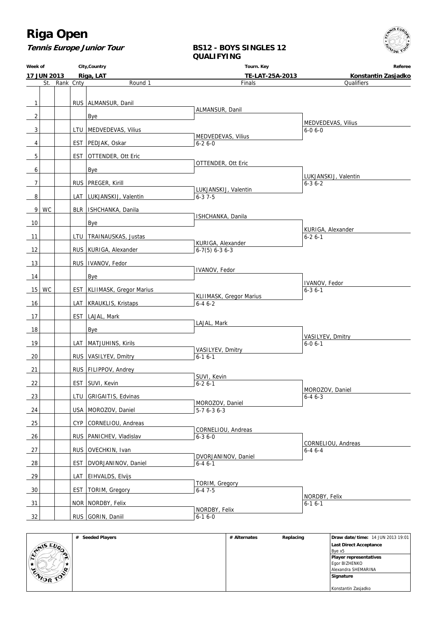

#### **Tennis Europe Junior Tour**

#### **BS12 - BOYS SINGLES 12 QUALIFYING**

**Week of 17 JUN 2013 City,Country Riga, LAT Tourn. Key TE-LAT-25A-2013 Referee Konstantin Zasjadko** St. Rank Cnty Round 1 1 | RUS ALMANSUR, Danil  $2$  | | | | Bye 3 | | | | LTU | MEDVEDEVAS, Vilius 4 | EST PEDJAK, Oskar 5 | EST OTTENDER, Ott Eric  $6$  |  $\qquad \qquad$  Bye 7 | RUS PREGER, Kirill 8 | LAT LUKJANSKIJ, Valentin 9 WC | BLR | ISHCHANKA, Danila  $10$   $\vert$   $\vert$   $\vert$   $\vert$  Bye 11 | LTU TRAINAUSKAS, Justas 12 | RUS KURIGA, Alexander 13 | RUS | IVANOV, Fedor 14 Bye 15 | WC | | EST | KLIIMASK, Gregor Marius 16 | | | LAT KRAUKLIS, Kristaps 17 | EST LAJAL, Mark 18 Bye 19 | LAT MATJUHINS, Kirils 20 | RUS VASILYEV, Dmitry 21 | RUS FILIPPOV, Andrey 22 | EST SUVI, Kevin 23 | | | | LTU GRIGAITIS, Edvinas 24 USA MOROZOV, Daniel 25 | CYP CORNELIOU, Andreas 26 | | | | | RUS | PANICHEV, Vladislav 27 | RUS OVECHKIN, Ivan 28 | | EST DVORJANINOV, Daniel 29 | LAT EIHVALDS, Elvijs 30 | EST TORIM, Gregory 31 | NOR NORDBY, Felix 32 | RUS GORIN, Daniil **Finals**  ALMANSUR, Danil MEDVEDEVAS, Vilius 6-2 6-0 OTTENDER, Ott Eric LUKJANSKIJ, Valentin 6-3 7-5 ISHCHANKA, Danila KURIGA, Alexander 6-7(5) 6-3 6-3 IVANOV, Fedor KLIIMASK, Gregor Marius 6-4 6-2 LAJAL, Mark VASILYEV, Dmitry  $6-16-1$  SUVI, Kevin  $6 - 26 - 1$  MOROZOV, Daniel 5-7 6-3 6-3 CORNELIOU, Andreas 6-3 6-0 DVORJANINOV, Daniel 6-4 6-1 TORIM, Gregory 6-4 7-5 NORDBY, Felix 6-1 6-0 **Qualifiers**  MEDVEDEVAS, Vilius 6-0 6-0 LUKJANSKIJ, Valentin 6-3 6-2 KURIGA, Alexander 6-2 6-1 IVANOV, Fedor 6-3 6-1 VASILYEV, Dmitry 6-0 6-1 MOROZOV, Daniel  $6-46-3$  CORNELIOU, Andreas 6-4 6-4 NORDBY, Felix 6-1 6-1

|                  | # Seeded Players | # Alternates | Replacing | <b>Draw date/time: 14 JUN 2013 19:01</b> |
|------------------|------------------|--------------|-----------|------------------------------------------|
|                  |                  |              |           | Last Direct Acceptance                   |
| <b>STAIS EUP</b> |                  |              |           | Bye x <sub>5</sub>                       |
| m                |                  |              |           | <b>Player representatives</b>            |
|                  |                  |              |           | Egor BIZHENKO                            |
| $\sim$           |                  |              |           | Alexandra SHEMARINA                      |
| <b>WIDR TON</b>  |                  |              |           | Signature                                |
|                  |                  |              |           |                                          |
|                  |                  |              |           | Konstantin Zasjadko                      |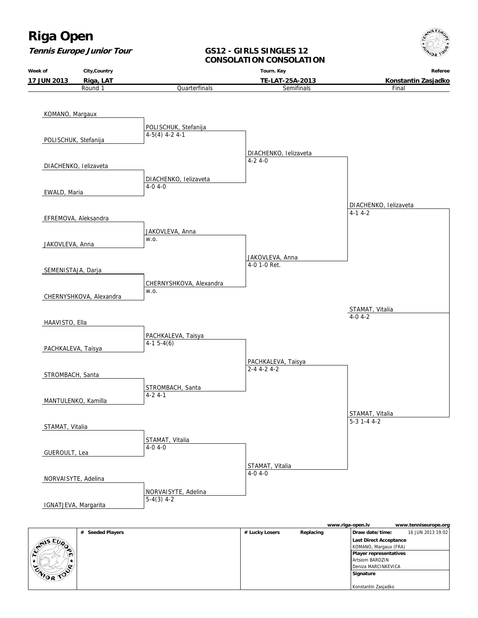**Tennis Europe Junior Tour**



#### **GS12 - GIRLS SINGLES 12 CONSOLATION CONSOLATION**



|                            | . | <br> |                               | . |
|----------------------------|---|------|-------------------------------|---|
| $E_{\nu_{\alpha}}$<br>فللع |   |      | Last Direct Acceptance        |   |
| ∙                          |   |      | KOMANO, Margaux (FRA)         |   |
| ∽                          |   |      | <b>Player representatives</b> |   |
|                            |   |      | Artsiom BARDZIN               |   |
| $\sim$                     |   |      | Deniza MARCINKEVICA           |   |
| WOR<br>$\sim$              |   |      | Signature                     |   |
|                            |   |      |                               |   |
|                            |   |      | Konstantin Zasjadko           |   |